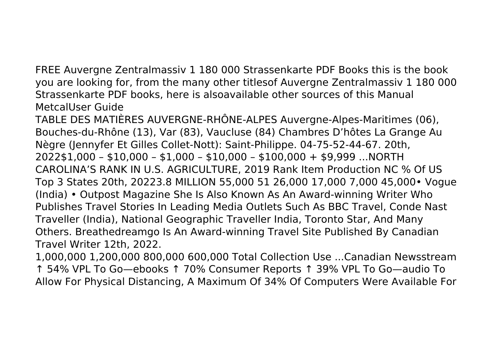FREE Auvergne Zentralmassiv 1 180 000 Strassenkarte PDF Books this is the book you are looking for, from the many other titlesof Auvergne Zentralmassiv 1 180 000 Strassenkarte PDF books, here is alsoavailable other sources of this Manual MetcalUser Guide

TABLE DES MATIÈRES AUVERGNE-RHÔNE-ALPES Auvergne-Alpes-Maritimes (06), Bouches-du-Rhône (13), Var (83), Vaucluse (84) Chambres D'hôtes La Grange Au Nègre (Jennyfer Et Gilles Collet-Nott): Saint-Philippe. 04-75-52-44-67. 20th, 2022\$1,000 – \$10,000 – \$1,000 – \$10,000 – \$100,000 + \$9,999 ...NORTH CAROLINA'S RANK IN U.S. AGRICULTURE, 2019 Rank Item Production NC % Of US Top 3 States 20th, 20223.8 MILLION 55,000 51 26,000 17,000 7,000 45,000• Vogue (India) • Outpost Magazine She Is Also Known As An Award-winning Writer Who Publishes Travel Stories In Leading Media Outlets Such As BBC Travel, Conde Nast Traveller (India), National Geographic Traveller India, Toronto Star, And Many Others. Breathedreamgo Is An Award-winning Travel Site Published By Canadian Travel Writer 12th, 2022.

1,000,000 1,200,000 800,000 600,000 Total Collection Use ...Canadian Newsstream ↑ 54% VPL To Go—ebooks ↑ 70% Consumer Reports ↑ 39% VPL To Go—audio To Allow For Physical Distancing, A Maximum Of 34% Of Computers Were Available For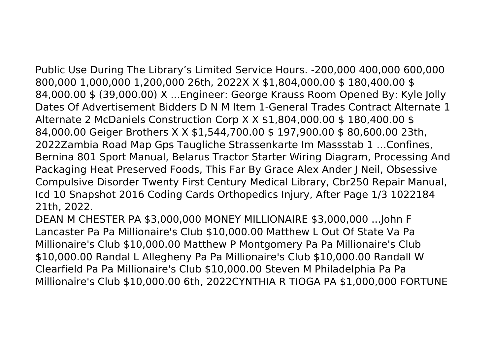Public Use During The Library's Limited Service Hours. -200,000 400,000 600,000 800,000 1,000,000 1,200,000 26th, 2022X X \$1,804,000.00 \$ 180,400.00 \$ 84,000.00 \$ (39,000.00) X ...Engineer: George Krauss Room Opened By: Kyle Jolly Dates Of Advertisement Bidders D N M Item 1-General Trades Contract Alternate 1 Alternate 2 McDaniels Construction Corp X X \$1,804,000.00 \$ 180,400.00 \$ 84,000.00 Geiger Brothers X X \$1,544,700.00 \$ 197,900.00 \$ 80,600.00 23th, 2022Zambia Road Map Gps Taugliche Strassenkarte Im Massstab 1 …Confines, Bernina 801 Sport Manual, Belarus Tractor Starter Wiring Diagram, Processing And Packaging Heat Preserved Foods, This Far By Grace Alex Ander J Neil, Obsessive Compulsive Disorder Twenty First Century Medical Library, Cbr250 Repair Manual, Icd 10 Snapshot 2016 Coding Cards Orthopedics Injury, After Page 1/3 1022184 21th, 2022.

DEAN M CHESTER PA \$3,000,000 MONEY MILLIONAIRE \$3,000,000 ...John F Lancaster Pa Pa Millionaire's Club \$10,000.00 Matthew L Out Of State Va Pa Millionaire's Club \$10,000.00 Matthew P Montgomery Pa Pa Millionaire's Club \$10,000.00 Randal L Allegheny Pa Pa Millionaire's Club \$10,000.00 Randall W Clearfield Pa Pa Millionaire's Club \$10,000.00 Steven M Philadelphia Pa Pa Millionaire's Club \$10,000.00 6th, 2022CYNTHIA R TIOGA PA \$1,000,000 FORTUNE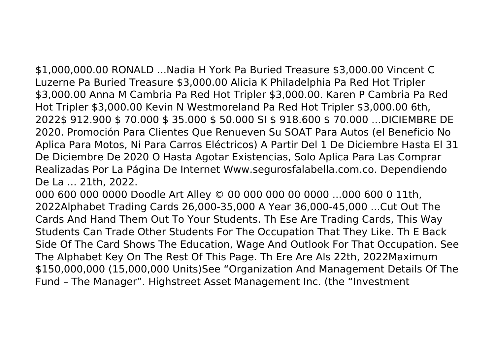\$1,000,000.00 RONALD ...Nadia H York Pa Buried Treasure \$3,000.00 Vincent C Luzerne Pa Buried Treasure \$3,000.00 Alicia K Philadelphia Pa Red Hot Tripler \$3,000.00 Anna M Cambria Pa Red Hot Tripler \$3,000.00. Karen P Cambria Pa Red Hot Tripler \$3,000.00 Kevin N Westmoreland Pa Red Hot Tripler \$3,000.00 6th, 2022\$ 912.900 \$ 70.000 \$ 35.000 \$ 50.000 SI \$ 918.600 \$ 70.000 ...DICIEMBRE DE 2020. Promoción Para Clientes Que Renueven Su SOAT Para Autos (el Beneficio No Aplica Para Motos, Ni Para Carros Eléctricos) A Partir Del 1 De Diciembre Hasta El 31 De Diciembre De 2020 O Hasta Agotar Existencias, Solo Aplica Para Las Comprar Realizadas Por La Página De Internet Www.segurosfalabella.com.co. Dependiendo De La ... 21th, 2022.

000 600 000 0000 Doodle Art Alley © 00 000 000 00 0000 ...000 600 0 11th, 2022Alphabet Trading Cards 26,000-35,000 A Year 36,000-45,000 ...Cut Out The Cards And Hand Them Out To Your Students. Th Ese Are Trading Cards, This Way Students Can Trade Other Students For The Occupation That They Like. Th E Back Side Of The Card Shows The Education, Wage And Outlook For That Occupation. See The Alphabet Key On The Rest Of This Page. Th Ere Are Als 22th, 2022Maximum \$150,000,000 (15,000,000 Units)See "Organization And Management Details Of The Fund – The Manager". Highstreet Asset Management Inc. (the "Investment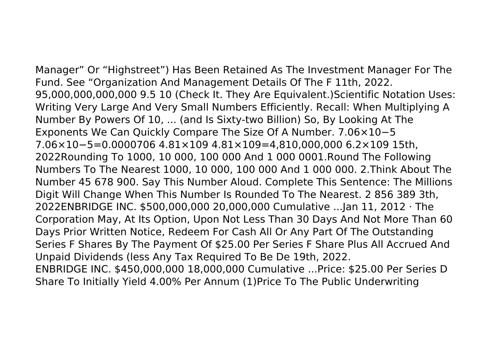Manager" Or "Highstreet") Has Been Retained As The Investment Manager For The Fund. See "Organization And Management Details Of The F 11th, 2022. 95,000,000,000,000 9.5 10 (Check It. They Are Equivalent.)Scientific Notation Uses: Writing Very Large And Very Small Numbers Efficiently. Recall: When Multiplying A Number By Powers Of 10, ... (and Is Sixty-two Billion) So, By Looking At The Exponents We Can Quickly Compare The Size Of A Number. 7.06×10−5 7.06×10−5=0.0000706 4.81×109 4.81×109=4,810,000,000 6.2×109 15th, 2022Rounding To 1000, 10 000, 100 000 And 1 000 0001.Round The Following Numbers To The Nearest 1000, 10 000, 100 000 And 1 000 000. 2.Think About The Number 45 678 900. Say This Number Aloud. Complete This Sentence: The Millions Digit Will Change When This Number Is Rounded To The Nearest. 2 856 389 3th, 2022ENBRIDGE INC. \$500,000,000 20,000,000 Cumulative ...Jan 11, 2012 · The Corporation May, At Its Option, Upon Not Less Than 30 Days And Not More Than 60 Days Prior Written Notice, Redeem For Cash All Or Any Part Of The Outstanding Series F Shares By The Payment Of \$25.00 Per Series F Share Plus All Accrued And Unpaid Dividends (less Any Tax Required To Be De 19th, 2022. ENBRIDGE INC. \$450,000,000 18,000,000 Cumulative ...Price: \$25.00 Per Series D Share To Initially Yield 4.00% Per Annum (1)Price To The Public Underwriting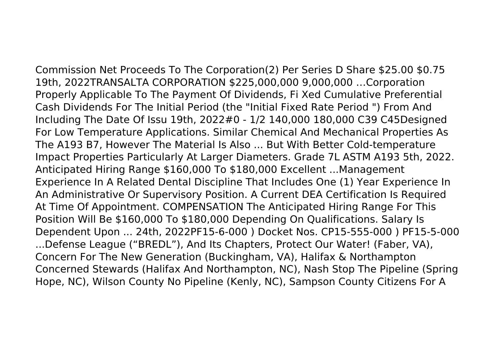Commission Net Proceeds To The Corporation(2) Per Series D Share \$25.00 \$0.75 19th, 2022TRANSALTA CORPORATION \$225,000,000 9,000,000 …Corporation Properly Applicable To The Payment Of Dividends, Fi Xed Cumulative Preferential Cash Dividends For The Initial Period (the "Initial Fixed Rate Period ") From And Including The Date Of Issu 19th, 2022#0 - 1/2 140,000 180,000 C39 C45Designed For Low Temperature Applications. Similar Chemical And Mechanical Properties As The A193 B7, However The Material Is Also ... But With Better Cold-temperature Impact Properties Particularly At Larger Diameters. Grade 7L ASTM A193 5th, 2022. Anticipated Hiring Range \$160,000 To \$180,000 Excellent ...Management Experience In A Related Dental Discipline That Includes One (1) Year Experience In An Administrative Or Supervisory Position. A Current DEA Certification Is Required At Time Of Appointment. COMPENSATION The Anticipated Hiring Range For This Position Will Be \$160,000 To \$180,000 Depending On Qualifications. Salary Is Dependent Upon ... 24th, 2022PF15-6-000 ) Docket Nos. CP15-555-000 ) PF15-5-000 ...Defense League ("BREDL"), And Its Chapters, Protect Our Water! (Faber, VA), Concern For The New Generation (Buckingham, VA), Halifax & Northampton Concerned Stewards (Halifax And Northampton, NC), Nash Stop The Pipeline (Spring Hope, NC), Wilson County No Pipeline (Kenly, NC), Sampson County Citizens For A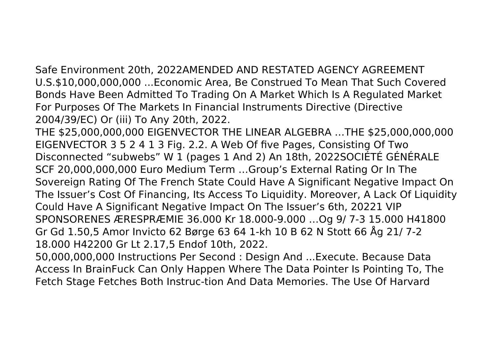Safe Environment 20th, 2022AMENDED AND RESTATED AGENCY AGREEMENT U.S.\$10,000,000,000 ...Economic Area, Be Construed To Mean That Such Covered Bonds Have Been Admitted To Trading On A Market Which Is A Regulated Market For Purposes Of The Markets In Financial Instruments Directive (Directive 2004/39/EC) Or (iii) To Any 20th, 2022.

THE \$25,000,000,000 EIGENVECTOR THE LINEAR ALGEBRA …THE \$25,000,000,000 EIGENVECTOR 3 5 2 4 1 3 Fig. 2.2. A Web Of five Pages, Consisting Of Two Disconnected "subwebs" W 1 (pages 1 And 2) An 18th, 2022SOCIÉTÉ GÉNÉRALE SCF 20,000,000,000 Euro Medium Term …Group's External Rating Or In The Sovereign Rating Of The French State Could Have A Significant Negative Impact On The Issuer's Cost Of Financing, Its Access To Liquidity. Moreover, A Lack Of Liquidity Could Have A Significant Negative Impact On The Issuer's 6th, 20221 VIP SPONSORENES ÆRESPRÆMIE 36.000 Kr 18.000-9.000 …Og 9/ 7-3 15.000 H41800 Gr Gd 1.50,5 Amor Invicto 62 Børge 63 64 1-kh 10 B 62 N Stott 66 Åg 21/ 7-2 18.000 H42200 Gr Lt 2.17,5 Endof 10th, 2022.

50,000,000,000 Instructions Per Second : Design And ...Execute. Because Data Access In BrainFuck Can Only Happen Where The Data Pointer Is Pointing To, The Fetch Stage Fetches Both Instruc-tion And Data Memories. The Use Of Harvard